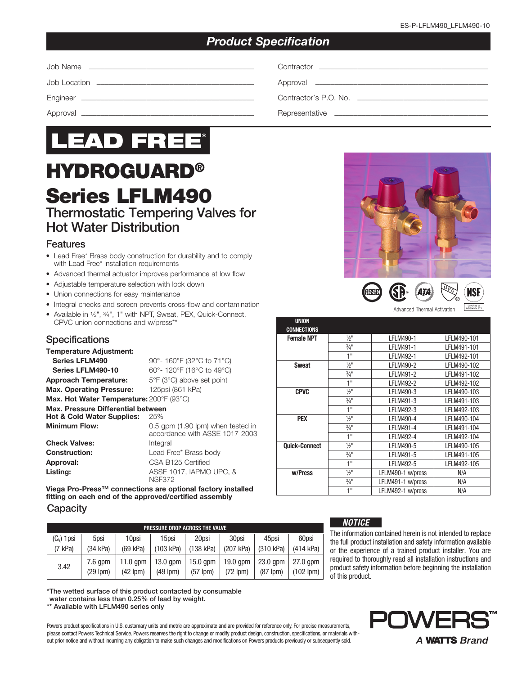# *Product Specification*



# HYDROGUARD® Series LFLM490 Thermostatic Tempering Valves for

# Hot Water Distribution

# Features

- Lead Free\* Brass body construction for durability and to comply with Lead Free\* installation requirements
- Advanced thermal actuator improves performance at low flow
- Adjustable temperature selection with lock down
- Union connections for easy maintenance
- Integral checks and screen prevents cross-flow and contamination
- Available in 1⁄2", 3⁄4", 1" with NPT, Sweat, PEX, Quick-Connect, CPVC union connections and w/press\*\*

## **Specifications**

## Temperature Adjustment: **Series LFLM490** 90°- 160°F (32°C to 71°C)

**Series LFLM490-10** 60°- 120°F (16°C to 49°C) Approach Temperature: 5°F (3°C) above set point Max. Operating Pressure: 125psi (861 kPa)

Max. Hot Water Temperature: 200°F (93°C)

#### Max. Pressure Differential between

| <b>Hot &amp; Cold Water Supplies:</b> | 25%                                                                 |
|---------------------------------------|---------------------------------------------------------------------|
| <b>Minimum Flow:</b>                  | 0.5 gpm (1.90 lpm) when tested in<br>accordance with ASSE 1017-2003 |
| <b>Check Valves:</b>                  | Integral                                                            |
| <b>Construction:</b>                  | Lead Free* Brass body                                               |
| Approval:                             | CSA B125 Certified                                                  |
| Listing:                              | ASSE 1017, IAPMO UPC, &<br><b>NSF372</b>                            |

Viega Pro-Press™ connections are optional factory installed fitting on each end of the approved/certified assembly

#### **Capacity**

| PRESSURE DROP ACROSS THE VALVE |                            |                             |                             |                             |                             |                             |                              |  |
|--------------------------------|----------------------------|-----------------------------|-----------------------------|-----------------------------|-----------------------------|-----------------------------|------------------------------|--|
| $(C_v)$ 1 psi                  | 5psi                       | 10psi                       | 15psi                       | 20psi                       | 30psi                       | 45psi                       | 60psi                        |  |
| (7 kPa)                        | $(34)$ kPa)                | (69 kPa)                    | (103 kPa)                   | $(138)$ kPa)                | (207 kPa)                   | (310 kPa)                   | $(414$ kPa)                  |  |
| 3.42                           | $7.6$ apm<br>$(29$ lpm $)$ | $11.0$ apm<br>$(42$ lpm $)$ | $13.0$ gpm<br>$(49$ lpm $)$ | $15.0$ gpm<br>$(57$ lpm $)$ | $19.0$ gpm<br>$(72$ lpm $)$ | $23.0$ gpm<br>$(87$ lpm $)$ | $27.0$ apm<br>$(102$ lpm $)$ |  |

\*The wetted surface of this product contacted by consumable

water contains less than 0.25% of lead by weight.

\*\* Available with LFLM490 series only

Powers product specifications in U.S. customary units and metric are approximate and are provided for reference only. For precise measurements, please contact Powers Technical Service. Powers reserves the right to change or modify product design, construction, specifications, or materials without prior notice and without incurring any obligation to make such changes and modifications on Powers products previously or subsequently sold.





| <b>UNION</b>         |                             |                   |             |
|----------------------|-----------------------------|-------------------|-------------|
| <b>CONNECTIONS</b>   |                             |                   |             |
| <b>Female NPT</b>    | $\frac{1}{2}$ "             | LFLM490-1         | LFLM490-101 |
|                      | $3/4$ <sup>11</sup>         | LFLM491-1         | LFLM491-101 |
|                      | 1"                          | <b>LFLM492-1</b>  | LFLM492-101 |
| <b>Sweat</b>         | $\frac{1}{2}$ <sup>11</sup> | LFLM490-2         | LFLM490-102 |
|                      | $\frac{3}{4}$ "             | LFLM491-2         | LFLM491-102 |
|                      | 1"                          | LFLM492-2         | LFLM492-102 |
| <b>CPVC</b>          | $\frac{1}{2}$ <sup>11</sup> | LFLM490-3         | LFLM490-103 |
|                      | $\frac{3}{4}$ "             | LFLM491-3         | LFLM491-103 |
|                      | 1"                          | LFLM492-3         | LFLM492-103 |
| <b>PEX</b>           | $\frac{1}{2}$ "             | LFLM490-4         | LFLM490-104 |
|                      | $\frac{3}{4}$ "             | LFLM491-4         | LFLM491-104 |
|                      | 1"                          | LFLM492-4         | LFLM492-104 |
| <b>Quick-Connect</b> | $\frac{1}{2}$ <sup>11</sup> | LFLM490-5         | LFLM490-105 |
|                      | $3/4$ <sup>11</sup>         | LFLM491-5         | LFLM491-105 |
|                      | 1"                          | LFLM492-5         | LFLM492-105 |
| w/Press              | $\frac{1}{2}$ "             | LFLM490-1 w/press | N/A         |
|                      | $\frac{3}{4}$ "             | LFLM491-1 w/press | N/A         |
|                      | 1"                          | LFLM492-1 w/press | N/A         |

#### *NOTICE*

The information contained herein is not intended to replace the full product installation and safety information available or the experience of a trained product installer. You are required to thoroughly read all installation instructions and product safety information before beginning the installation of this product.